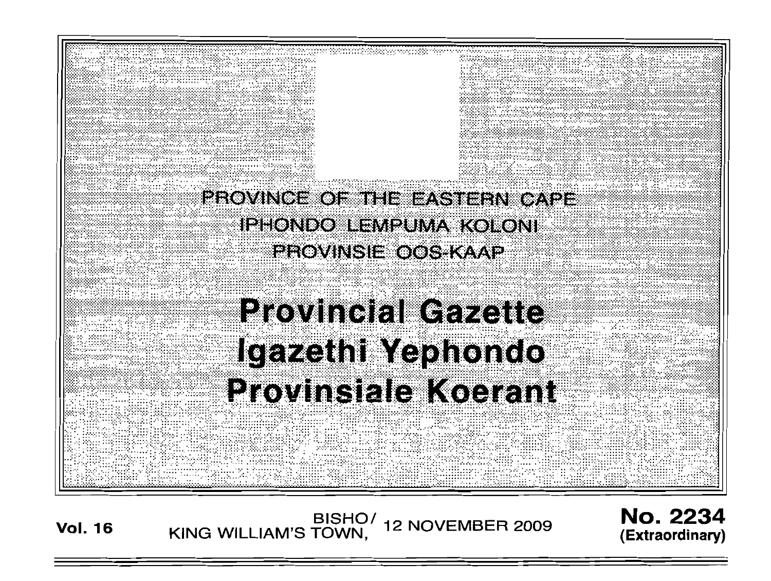

**Vol. <sup>16</sup>** BISHO/ KING WILLIAM'S TOWN, 12 NOVEMBER 2009

No. 2234 **(Extraordinary)**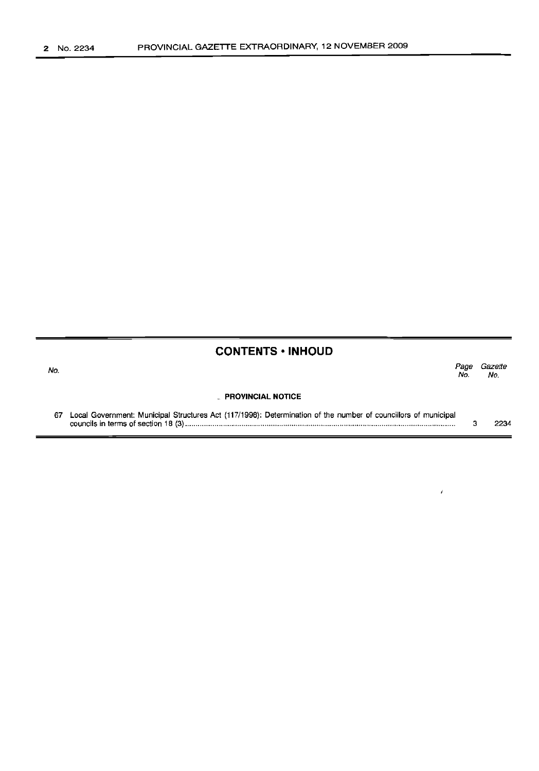| No. |                                                                                                                   | Page<br>No. | Gazette<br>No. |
|-----|-------------------------------------------------------------------------------------------------------------------|-------------|----------------|
|     | PROVINCIAL NOTICE                                                                                                 |             |                |
|     | 67 Local Government: Municipal Structures Act (117/1998): Determination of the number of councillors of municipal |             | 2234           |

 $\bar{t}$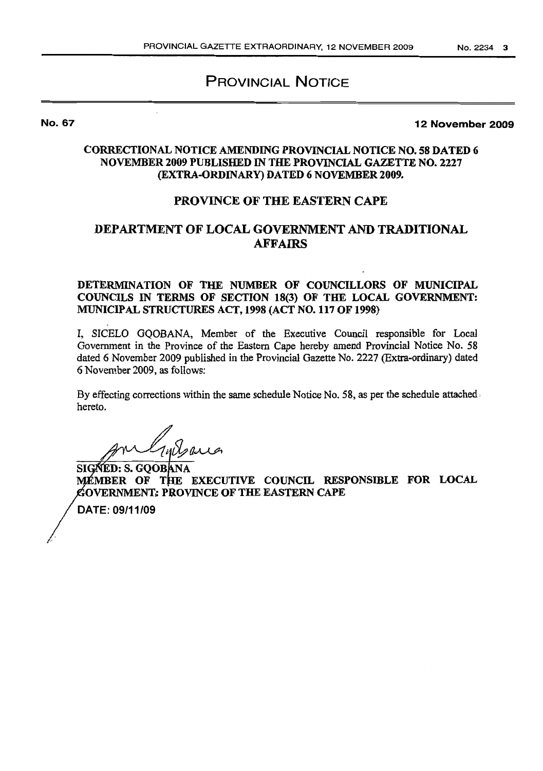## PROVINCIAL NOTICE

No. 67

12 November 2009

### CORRECTIONAL NOTICE AMENDING PROVINCIAL NOTICE NO. 58 DATED 6 NOVEMBER 2009 PUBLISHED IN THE PROVINCIAL GAZETTE NO. 2227 (EXTRA-ORDINARY) DATED 6 NOVEMBER 2009.

### PROVINCE OF THE EASTERN CAPE

## DEPARTMENT OF LOCAL GOVERNMENT AND TRADITIONAL **AFFAIRS**

DETERMINATION OF THE NUMBER OF COUNCILLORS OF MUNICIPAL COUNCILS IN TERMS OF SECTION 18(3) OF THE LOCAL GOVERNMENT: MUNICIPAL STRUCTURES ACT, 1998 (ACT NO. 117 OF 1998)

I, SICELO GQOBANA, Member of the Executive Council responsible for Local Government in the Province of the Eastern Cape hereby amend Provincial Notice No. 58 dated 6 November 2009 published in the Provincial Gazette No. 2227 (Extra-ordinary) dated 6 November 2009, as follows:

By effecting corrections within the same schedule Notice No. 58, as per the schedule attached, hereto.

;~/lvVJJl

SIGNED: S. GQOBANA MÉMBER OF THE EXECUTIVE COUNCIL RESPONSIBLE FOR LOCAL GOVERNMENT: PROVINCE OF THE EASTERN CAPE

DATE: 09/11/09